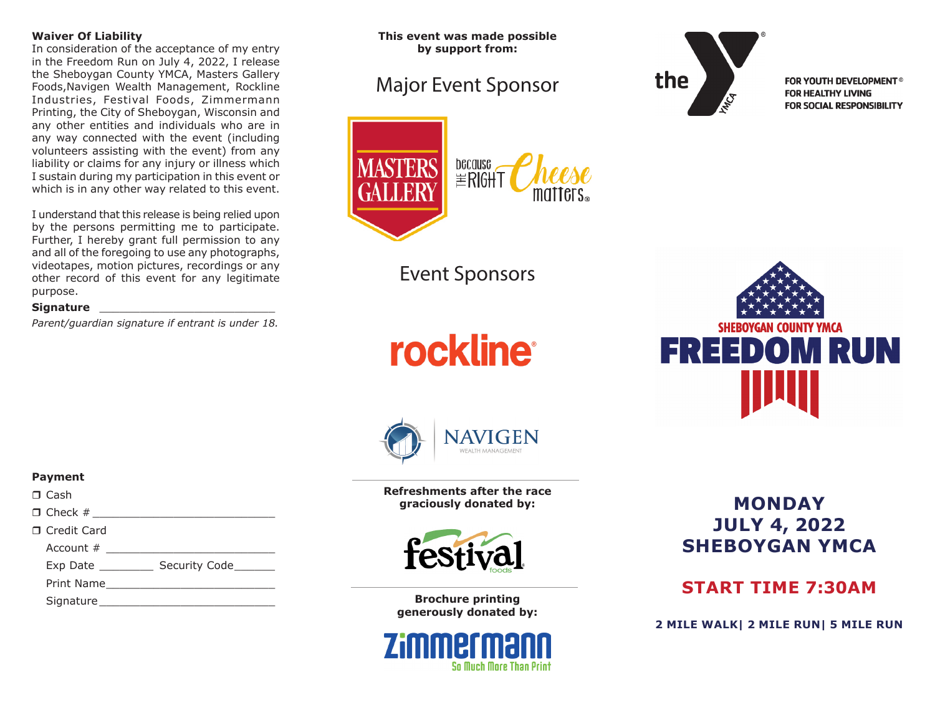#### **Waiver Of Liability**

In consideration of the acceptance of my entry in the Freedom Run on July 4, 2022, I release the Sheboygan County YMCA, Masters Gallery Foods,Navigen Wealth Management, Rockline Industries, Festival Foods, Zimmermann Printing, the City of Sheboygan, Wisconsin and any other entities and individuals who are in any way connected with the event (including volunteers assisting with the event) from any liability or claims for any injury or illness which I sustain during my participation in this event or which is in any other way related to this event.

I understand that this release is being relied upon by the persons permitting me to participate. Further, I hereby grant full permission to any and all of the foregoing to use any photographs, videotapes, motion pictures, recordings or any other record of this event for any legitimate purpose.

#### **Signature and the signature**

**Payment**  $\Box$  Cash

□ Credit Card

*Parent/guardian signature if entrant is under 18.*

 $\Box$  Check #  $\Box$ 

Account  $#$ Exp Date \_\_\_\_\_\_\_\_ Security Code\_\_\_\_\_\_ Print Name\_\_\_\_\_\_\_\_\_\_\_\_\_\_\_\_\_\_\_\_\_\_\_\_\_ Signature \_\_\_\_\_\_\_\_\_\_\_\_\_\_\_\_\_\_\_\_\_\_\_\_\_\_

**This event was made possible by support from:**

# Major Event Sponsor



Event Sponsors

**rockline** 



**FOR YOUTH DEVELOPMENT<sup>®</sup> FOR HEALTHY LIVING** FOR SOCIAL RESPONSIBILITY





**Refreshments after the race graciously donated by:**



**Brochure printing generously donated by:**



## **MONDAY JULY 4, 2022 SHEBOYGAN YMCA**

## **START TIME 7:30AM**

**2 MILE WALK| 2 MILE RUN| 5 MILE RUN**